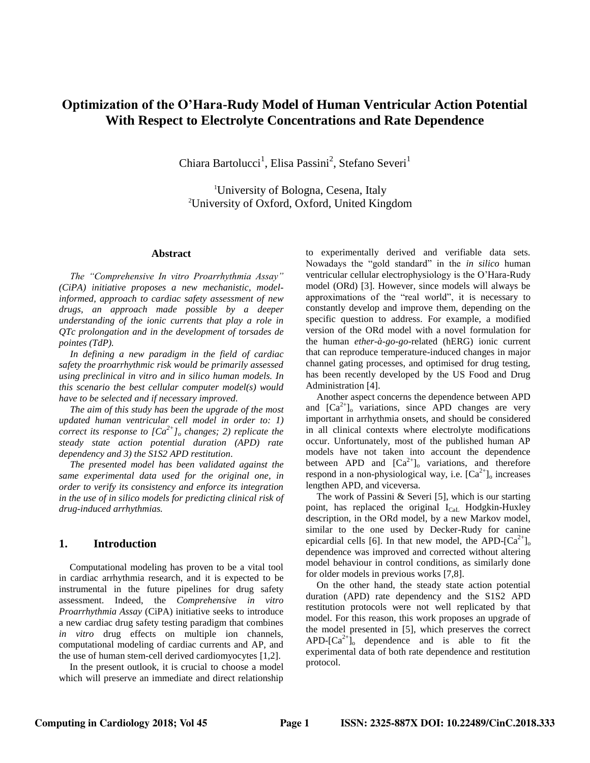# **Optimization of the O'Hara-Rudy Model of Human Ventricular Action Potential With Respect to Electrolyte Concentrations and Rate Dependence**

Chiara Bartolucci<sup>1</sup>, Elisa Passini<sup>2</sup>, Stefano Severi<sup>1</sup>

<sup>1</sup>University of Bologna, Cesena, Italy <sup>2</sup>University of Oxford, Oxford, United Kingdom

## **Abstract**

*The "Comprehensive In vitro Proarrhythmia Assay" (CiPA) initiative proposes a new mechanistic, modelinformed, approach to cardiac safety assessment of new drugs, an approach made possible by a deeper understanding of the ionic currents that play a role in QTc prolongation and in the development of torsades de pointes (TdP).*

*In defining a new paradigm in the field of cardiac safety the proarrhythmic risk would be primarily assessed using preclinical in vitro and in silico human models. In this scenario the best cellular computer model(s) would have to be selected and if necessary improved.*

*The aim of this study has been the upgrade of the most updated human ventricular cell model in order to: 1) correct its response to*  $[Ca^{2+}$ *]*<sup>*o*</sup> *changes; 2) replicate the steady state action potential duration (APD) rate dependency and 3) the S1S2 APD restitution.*

*The presented model has been validated against the same experimental data used for the original one, in order to verify its consistency and enforce its integration in the use of in silico models for predicting clinical risk of drug-induced arrhythmias.*

#### **1. Introduction**

Computational modeling has proven to be a vital tool in cardiac arrhythmia research, and it is expected to be instrumental in the future pipelines for drug safety assessment. Indeed, the *Comprehensive in vitro Proarrhythmia Assay* (CiPA) initiative seeks to introduce a new cardiac drug safety testing paradigm that combines *in vitro* drug effects on multiple ion channels, computational modeling of cardiac currents and AP, and the use of human stem-cell derived cardiomyocytes [1,2].

In the present outlook, it is crucial to choose a model which will preserve an immediate and direct relationship

to experimentally derived and verifiable data sets. Nowadays the "gold standard" in the *in silico* human ventricular cellular electrophysiology is the O'Hara-Rudy model (ORd) [3]. However, since models will always be approximations of the "real world", it is necessary to constantly develop and improve them, depending on the specific question to address. For example, a modified version of the ORd model with a novel formulation for the human *ether-à-go-go*-related (hERG) ionic current that can reproduce temperature-induced changes in major channel gating processes, and optimised for drug testing, has been recently developed by the US Food and Drug Administration [4].

Another aspect concerns the dependence between APD and  $[Ca^{2+}]_o$  variations, since APD changes are very important in arrhythmia onsets, and should be considered in all clinical contexts where electrolyte modifications occur. Unfortunately, most of the published human AP models have not taken into account the dependence between APD and  $[Ca<sup>2+</sup>]_{o}$  variations, and therefore respond in a non-physiological way, i.e.  $[Ca^{2+}]_o$  increases lengthen APD, and viceversa.

The work of Passini & Severi [5], which is our starting point, has replaced the original  $I_{\text{Cal}}$  Hodgkin-Huxley description, in the ORd model, by a new Markov model, similar to the one used by Decker-Rudy for canine epicardial cells [6]. In that new model, the APD- $\left[Ca^{2+}\right]_0$ dependence was improved and corrected without altering model behaviour in control conditions, as similarly done for older models in previous works [7,8].

On the other hand, the steady state action potential duration (APD) rate dependency and the S1S2 APD restitution protocols were not well replicated by that model. For this reason, this work proposes an upgrade of the model presented in [5], which preserves the correct APD- $[Ca^{2+}]_0$  dependence and is able to fit the experimental data of both rate dependence and restitution protocol.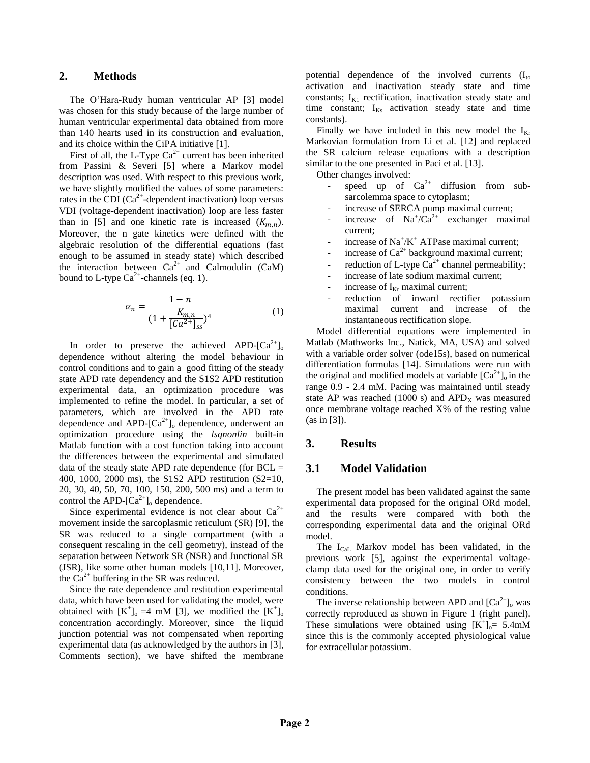### **2. Methods**

The O'Hara-Rudy human ventricular AP [3] model was chosen for this study because of the large number of human ventricular experimental data obtained from more than 140 hearts used in its construction and evaluation, and its choice within the CiPA initiative [1].

First of all, the L-Type  $Ca^{2+}$  current has been inherited from Passini & Severi [5] where a Markov model description was used. With respect to this previous work, we have slightly modified the values of some parameters: rates in the CDI  $(Ca^{2+}$ -dependent inactivation) loop versus VDI (voltage-dependent inactivation) loop are less faster than in [5] and one kinetic rate is increased  $(K_{m,n})$ . Moreover, the n gate kinetics were defined with the algebraic resolution of the differential equations (fast enough to be assumed in steady state) which described the interaction between  $Ca^{2+}$  and Calmodulin (CaM) bound to L-type  $Ca^{2+}$ -channels (eq. 1).

$$
\alpha_n = \frac{1 - n}{\left(1 + \frac{K_{m,n}}{\left[Ca^{2+}\right]_{ss}}\right)^4} \tag{1}
$$

In order to preserve the achieved APD- $[Ca^{2+}]_0$ dependence without altering the model behaviour in control conditions and to gain a good fitting of the steady state APD rate dependency and the S1S2 APD restitution experimental data, an optimization procedure was implemented to refine the model. In particular, a set of parameters, which are involved in the APD rate dependence and APD- $[Ca^{2+}]_o$  dependence, underwent an optimization procedure using the *lsqnonlin* built-in Matlab function with a cost function taking into account the differences between the experimental and simulated data of the steady state APD rate dependence (for  $BCL =$ 400, 1000, 2000 ms), the S1S2 APD restitution (S2=10, 20, 30, 40, 50, 70, 100, 150, 200, 500 ms) and a term to control the APD- $[Ca^{2+}]_0$  dependence.

Since experimental evidence is not clear about  $Ca^{2+}$ movement inside the sarcoplasmic reticulum (SR) [9], the SR was reduced to a single compartment (with a consequent rescaling in the cell geometry), instead of the separation between Network SR (NSR) and Junctional SR (JSR), like some other human models [10,11]. Moreover, the  $Ca^{2+}$  buffering in the SR was reduced.

Since the rate dependence and restitution experimental data, which have been used for validating the model, were obtained with  $[K^+]_0 = 4$  mM [3], we modified the  $[K^+]_0$ concentration accordingly. Moreover, since the liquid junction potential was not compensated when reporting experimental data (as acknowledged by the authors in [3], Comments section), we have shifted the membrane potential dependence of the involved currents  $(I_{\text{to}})$ activation and inactivation steady state and time constants;  $I_{K1}$  rectification, inactivation steady state and time constant;  $I_{Ks}$  activation steady state and time constants).

Finally we have included in this new model the  $I_{Kr}$ Markovian formulation from Li et al. [12] and replaced the SR calcium release equations with a description similar to the one presented in Paci et al. [13].

Other changes involved:

- speed up of  $Ca^{2+}$  diffusion from subsarcolemma space to cytoplasm;
- increase of SERCA pump maximal current;
- increase of  $\text{Na}^{\dagger}/\text{Ca}^{2+}$  exchanger maximal current;
- increase of  $Na^+/K^+$  ATPase maximal current;
- increase of  $Ca^{2+}$  background maximal current;
- reduction of L-type  $Ca^{2+}$  channel permeability;
- increase of late sodium maximal current;
- increase of  $I_{Kr}$  maximal current;
- reduction of inward rectifier potassium maximal current and increase of the instantaneous rectification slope.

Model differential equations were implemented in Matlab (Mathworks Inc., Natick, MA, USA) and solved with a variable order solver (ode15s), based on numerical differentiation formulas [14]. Simulations were run with the original and modified models at variable  $[Ca^{2+}]_0$  in the range 0.9 - 2.4 mM. Pacing was maintained until steady state AP was reached (1000 s) and  $APD<sub>X</sub>$  was measured once membrane voltage reached X% of the resting value (as in [3]).

# **3. Results**

### **3.1 Model Validation**

The present model has been validated against the same experimental data proposed for the original ORd model, and the results were compared with both the corresponding experimental data and the original ORd model.

The  $I_{\text{Cal}}$  Markov model has been validated, in the previous work [5], against the experimental voltageclamp data used for the original one, in order to verify consistency between the two models in control conditions.

The inverse relationship between APD and  $[Ca^{2+}]_o$  was correctly reproduced as shown in Figure 1 (right panel). These simulations were obtained using  $[K^+]_0 = 5.4 \text{mM}$ since this is the commonly accepted physiological value for extracellular potassium.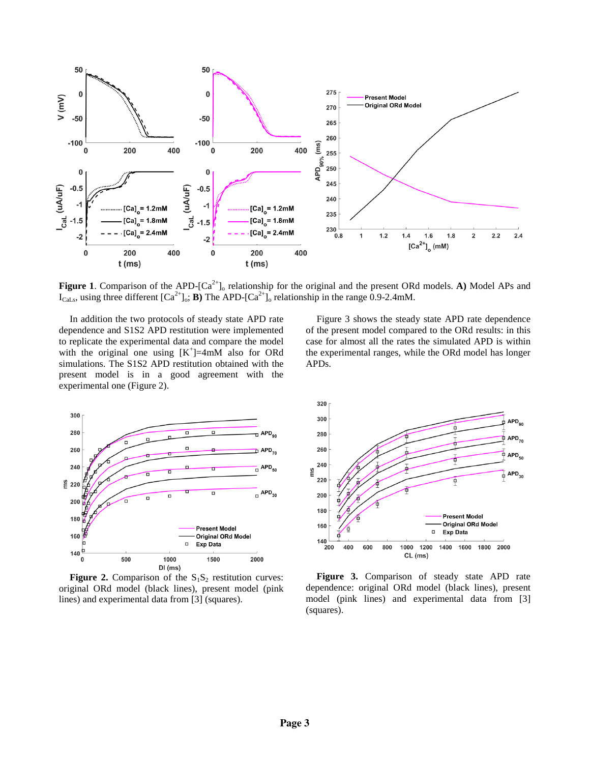

**Figure 1**. Comparison of the APD- $[Ca^{2+}]$ <sub>o</sub> relationship for the original and the present ORd models. A) Model APs and  $I_{Cal,s}$ , using three different  $[Ca^{2+}]_o$ ; **B**) The APD- $[Ca^{2+}]_o$  relationship in the range 0.9-2.4mM.

In addition the two protocols of steady state APD rate dependence and S1S2 APD restitution were implemented to replicate the experimental data and compare the model with the original one using  $[K^+] = 4mM$  also for ORd simulations. The S1S2 APD restitution obtained with the present model is in a good agreement with the experimental one (Figure 2).



**Figure 2.** Comparison of the  $S_1S_2$  restitution curves: original ORd model (black lines), present model (pink lines) and experimental data from [3] (squares).

Figure 3 shows the steady state APD rate dependence of the present model compared to the ORd results: in this case for almost all the rates the simulated APD is within the experimental ranges, while the ORd model has longer APDs.



**Figure 3.** Comparison of steady state APD rate dependence: original ORd model (black lines), present model (pink lines) and experimental data from [3] (squares).